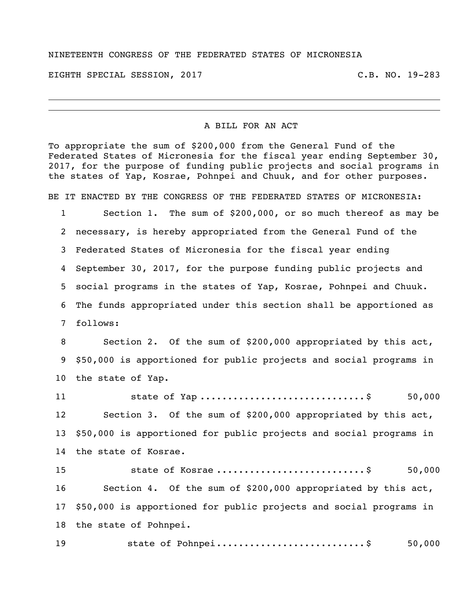## NINETEENTH CONGRESS OF THE FEDERATED STATES OF MICRONESIA

EIGHTH SPECIAL SESSION, 2017 C.B. NO. 19-283

## A BILL FOR AN ACT

To appropriate the sum of \$200,000 from the General Fund of the Federated States of Micronesia for the fiscal year ending September 30, 2017, for the purpose of funding public projects and social programs in the states of Yap, Kosrae, Pohnpei and Chuuk, and for other purposes.

BE IT ENACTED BY THE CONGRESS OF THE FEDERATED STATES OF MICRONESIA:

 Section 1. The sum of \$200,000, or so much thereof as may be necessary, is hereby appropriated from the General Fund of the Federated States of Micronesia for the fiscal year ending September 30, 2017, for the purpose funding public projects and social programs in the states of Yap, Kosrae, Pohnpei and Chuuk. The funds appropriated under this section shall be apportioned as follows:

 Section 2. Of the sum of \$200,000 appropriated by this act, \$50,000 is apportioned for public projects and social programs in the state of Yap.

11 state of Yap ................................\$ 50,000 Section 3. Of the sum of \$200,000 appropriated by this act, \$50,000 is apportioned for public projects and social programs in the state of Kosrae. state of Kosrae ...........................\$ 50,000 Section 4. Of the sum of \$200,000 appropriated by this act, \$50,000 is apportioned for public projects and social programs in

the state of Pohnpei.

state of Pohnpei...........................\$ 50,000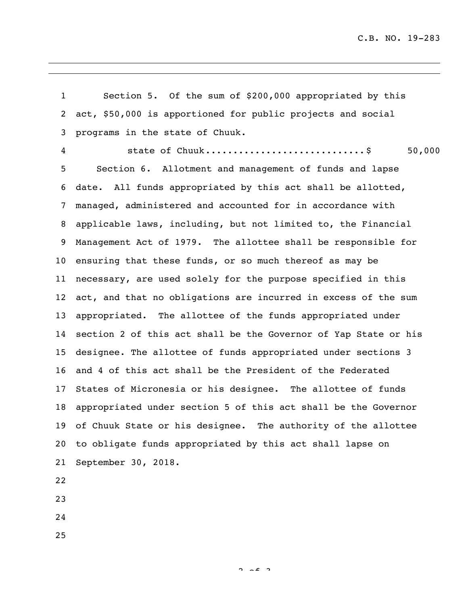C.B. NO. 19-283

 Section 5. Of the sum of \$200,000 appropriated by this act, \$50,000 is apportioned for public projects and social programs in the state of Chuuk. state of Chuuk.............................\$ 50,000 Section 6. Allotment and management of funds and lapse date. All funds appropriated by this act shall be allotted, managed, administered and accounted for in accordance with applicable laws, including, but not limited to, the Financial Management Act of 1979. The allottee shall be responsible for ensuring that these funds, or so much thereof as may be necessary, are used solely for the purpose specified in this act, and that no obligations are incurred in excess of the sum appropriated. The allottee of the funds appropriated under section 2 of this act shall be the Governor of Yap State or his designee. The allottee of funds appropriated under sections 3 and 4 of this act shall be the President of the Federated States of Micronesia or his designee. The allottee of funds appropriated under section 5 of this act shall be the Governor of Chuuk State or his designee. The authority of the allottee to obligate funds appropriated by this act shall lapse on September 30, 2018. 

 $2.2$